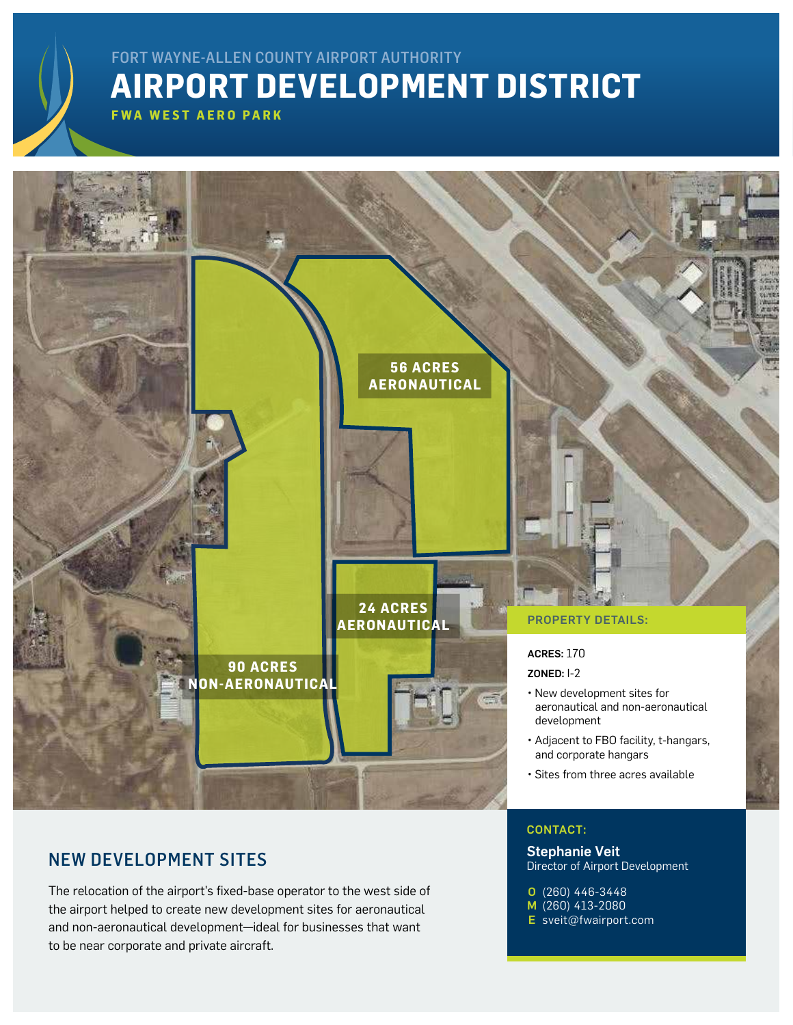## **AIRPORT DEVELOPMENT DISTRICT** FORT WAYNE-ALLEN COUNTY AIRPORT AUTHORITY

**FWA WEST AERO PARK**



### NEW DEVELOPMENT SITES

The relocation of the airport's fixed-base operator to the west side of the airport helped to create new development sites for aeronautical and non-aeronautical development—ideal for businesses that want to be near corporate and private aircraft.

### CONTACT:

Stephanie Veit Director of Airport Development

(260) 446-3448 O M (260) 413-2080

E [sveit@fwairport.com](mailto:sveit%40fwairport.com?subject=)